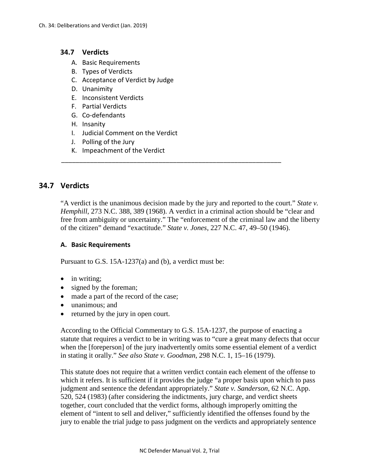#### **34.7 Verdicts**

- A. Basic Requirements
- B. Types of Verdicts
- C. Acceptance of Verdict by Judge
- D. Unanimity
- E. Inconsistent Verdicts
- F. Partial Verdicts
- G. Co-defendants
- H. Insanity
- I. Judicial Comment on the Verdict
- J. Polling of the Jury
- K. Impeachment of the Verdict

# **34.7 Verdicts**

"A verdict is the unanimous decision made by the jury and reported to the court." *State v. Hemphill*, 273 N.C. 388, 389 (1968). A verdict in a criminal action should be "clear and free from ambiguity or uncertainty." The "enforcement of the criminal law and the liberty of the citizen" demand "exactitude." *State v. Jones*, 227 N.C. 47, 49–50 (1946).

\_\_\_\_\_\_\_\_\_\_\_\_\_\_\_\_\_\_\_\_\_\_\_\_\_\_\_\_\_\_\_\_\_\_\_\_\_\_\_\_\_\_\_\_\_\_\_\_\_\_\_\_\_\_\_\_\_\_\_\_\_

#### **A. Basic Requirements**

Pursuant to G.S. 15A-1237(a) and (b), a verdict must be:

- in writing:
- signed by the foreman;
- made a part of the record of the case;
- unanimous; and
- returned by the jury in open court.

According to the Official Commentary to G.S. 15A-1237, the purpose of enacting a statute that requires a verdict to be in writing was to "cure a great many defects that occur when the [foreperson] of the jury inadvertently omits some essential element of a verdict in stating it orally." *See also State v. Goodman*, 298 N.C. 1, 15–16 (1979).

This statute does not require that a written verdict contain each element of the offense to which it refers. It is sufficient if it provides the judge "a proper basis upon which to pass judgment and sentence the defendant appropriately." *State v. Sanderson*, 62 N.C. App. 520, 524 (1983) (after considering the indictments, jury charge, and verdict sheets together, court concluded that the verdict forms, although improperly omitting the element of "intent to sell and deliver," sufficiently identified the offenses found by the jury to enable the trial judge to pass judgment on the verdicts and appropriately sentence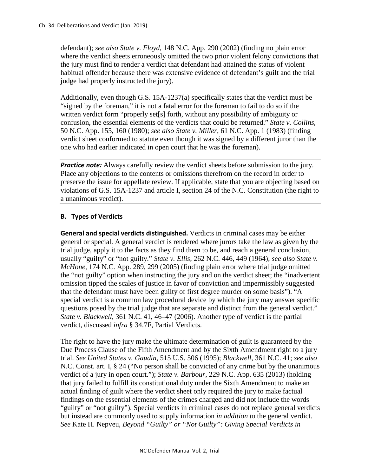defendant); *see also State v. Floyd*, 148 N.C. App. 290 (2002) (finding no plain error where the verdict sheets erroneously omitted the two prior violent felony convictions that the jury must find to render a verdict that defendant had attained the status of violent habitual offender because there was extensive evidence of defendant's guilt and the trial judge had properly instructed the jury).

Additionally, even though G.S. 15A-1237(a) specifically states that the verdict must be "signed by the foreman," it is not a fatal error for the foreman to fail to do so if the written verdict form "properly set[s] forth, without any possibility of ambiguity or confusion, the essential elements of the verdicts that could be returned." *State v. Collins*, 50 N.C. App. 155, 160 (1980); *see also State v. Miller*, 61 N.C. App. 1 (1983) (finding verdict sheet conformed to statute even though it was signed by a different juror than the one who had earlier indicated in open court that he was the foreman).

**Practice note:** Always carefully review the verdict sheets before submission to the jury. Place any objections to the contents or omissions therefrom on the record in order to preserve the issue for appellate review. If applicable, state that you are objecting based on violations of G.S. 15A-1237 and article I, section 24 of the N.C. Constitution (the right to a unanimous verdict).

# **B. Types of Verdicts**

**General and special verdicts distinguished.** Verdicts in criminal cases may be either general or special. A general verdict is rendered where jurors take the law as given by the trial judge, apply it to the facts as they find them to be, and reach a general conclusion, usually "guilty" or "not guilty." *State v. Ellis*, 262 N.C. 446, 449 (1964); *see also State v. McHone*, 174 N.C. App. 289, 299 (2005) (finding plain error where trial judge omitted the "not guilty" option when instructing the jury and on the verdict sheet; the "inadvertent omission tipped the scales of justice in favor of conviction and impermissibly suggested that the defendant must have been guilty of first degree murder on some basis"). "A special verdict is a common law procedural device by which the jury may answer specific questions posed by the trial judge that are separate and distinct from the general verdict." *State v. Blackwell*, 361 N.C. 41, 46–47 (2006). Another type of verdict is the partial verdict, discussed *infra* § 34.7F, Partial Verdicts.

The right to have the jury make the ultimate determination of guilt is guaranteed by the Due Process Clause of the Fifth Amendment and by the Sixth Amendment right to a jury trial. *See United States v. Gaudin*, 515 U.S. 506 (1995); *Blackwell*, 361 N.C. 41; *see also* N.C. Const. art. I, § 24 ("No person shall be convicted of any crime but by the unanimous verdict of a jury in open court."); *State v. Barbour*, 229 N.C. App. 635 (2013) (holding that jury failed to fulfill its constitutional duty under the Sixth Amendment to make an actual finding of guilt where the verdict sheet only required the jury to make factual findings on the essential elements of the crimes charged and did not include the words "guilty" or "not guilty"). Special verdicts in criminal cases do not replace general verdicts but instead are commonly used to supply information *in addition to* the general verdict. *See* Kate H. Nepveu, *Beyond "Guilty" or "Not Guilty": Giving Special Verdicts in*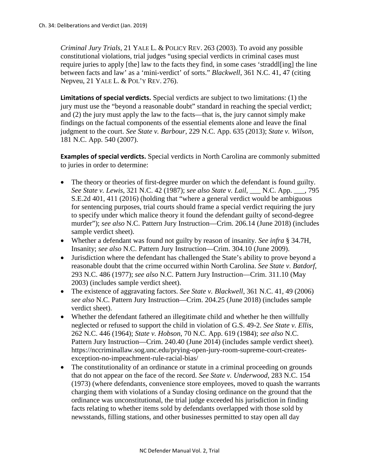*Criminal Jury Trials*, 21 YALE L. & POLICY REV. 263 (2003). To avoid any possible constitutional violations, trial judges "using special verdicts in criminal cases must require juries to apply [the] law to the facts they find, in some cases 'straddl[ing] the line between facts and law' as a 'mini-verdict' of sorts." *Blackwell*, 361 N.C. 41, 47 (citing Nepveu, 21 YALE L. & POL'Y REV. 276).

**Limitations of special verdicts.** Special verdicts are subject to two limitations: (1) the jury must use the "beyond a reasonable doubt" standard in reaching the special verdict; and (2) the jury must apply the law to the facts—that is, the jury cannot simply make findings on the factual components of the essential elements alone and leave the final judgment to the court. *See State v. Barbour*, 229 N.C. App. 635 (2013); *State v. Wilson*, 181 N.C. App. 540 (2007).

**Examples of special verdicts.** Special verdicts in North Carolina are commonly submitted to juries in order to determine:

- The theory or theories of first-degree murder on which the defendant is found guilty. *See State v. Lewis*, 321 N.C. 42 (1987); *see also State v. Lail*, \_\_\_ N.C. App. \_\_\_, 795 S.E.2d 401, 411 (2016) (holding that "where a general verdict would be ambiguous for sentencing purposes, trial courts should frame a special verdict requiring the jury to specify under which malice theory it found the defendant guilty of second-degree murder"); *see also* N.C. Pattern Jury Instruction—Crim. 206.14 (June 2018) (includes sample verdict sheet).
- Whether a defendant was found not guilty by reason of insanity. *See infra* § 34.7H, Insanity; *see also* N.C. Pattern Jury Instruction—Crim. 304.10 (June 2009).
- Jurisdiction where the defendant has challenged the State's ability to prove beyond a reasonable doubt that the crime occurred within North Carolina. *See State v. Batdorf*, 293 N.C. 486 (1977); *see also* N.C. Pattern Jury Instruction—Crim. 311.10 (May 2003) (includes sample verdict sheet).
- The existence of aggravating factors. *See State v. Blackwell*, 361 N.C. 41, 49 (2006) *see also* N.C. Pattern Jury Instruction—Crim. 204.25 (June 2018) (includes sample verdict sheet).
- Whether the defendant fathered an illegitimate child and whether he then willfully neglected or refused to support the child in violation of G.S. 49-2. *See State v. Ellis*, 262 N.C. 446 (1964); *State v. Hobson*, 70 N.C. App. 619 (1984); *see also* N.C. Pattern Jury Instruction—Crim. 240.40 (June 2014) (includes sample verdict sheet). https://nccriminallaw.sog.unc.edu/prying-open-jury-room-supreme-court-createsexception-no-impeachment-rule-racial-bias/
- The constitutionality of an ordinance or statute in a criminal proceeding on grounds that do not appear on the face of the record. *See State v. Underwood*, 283 N.C. 154 (1973) (where defendants, convenience store employees, moved to quash the warrants charging them with violations of a Sunday closing ordinance on the ground that the ordinance was unconstitutional, the trial judge exceeded his jurisdiction in finding facts relating to whether items sold by defendants overlapped with those sold by newsstands, filling stations, and other businesses permitted to stay open all day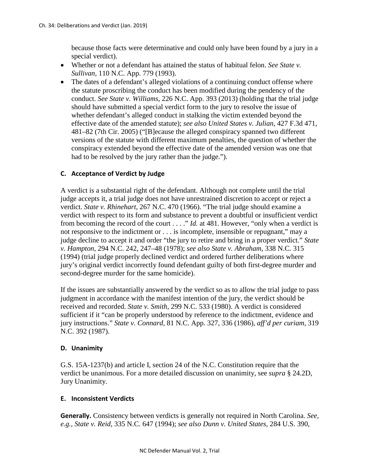because those facts were determinative and could only have been found by a jury in a special verdict).

- Whether or not a defendant has attained the status of habitual felon. *See State v. Sullivan*, 110 N.C. App. 779 (1993).
- The dates of a defendant's alleged violations of a continuing conduct offense where the statute proscribing the conduct has been modified during the pendency of the conduct. *See State v. Williams*, 226 N.C. App. 393 (2013) (holding that the trial judge should have submitted a special verdict form to the jury to resolve the issue of whether defendant's alleged conduct in stalking the victim extended beyond the effective date of the amended statute); *see also United States v. Julian*, 427 F.3d 471, 481–82 (7th Cir. 2005) ("[B]ecause the alleged conspiracy spanned two different versions of the statute with different maximum penalties, the question of whether the conspiracy extended beyond the effective date of the amended version was one that had to be resolved by the jury rather than the judge.").

# **C. Acceptance of Verdict by Judge**

A verdict is a substantial right of the defendant. Although not complete until the trial judge accepts it, a trial judge does not have unrestrained discretion to accept or reject a verdict. *State v. Rhinehart*, 267 N.C. 470 (1966). "The trial judge should examine a verdict with respect to its form and substance to prevent a doubtful or insufficient verdict from becoming the record of the court . . . ." *Id.* at 481. However, "only when a verdict is not responsive to the indictment or . . . is incomplete, insensible or repugnant," may a judge decline to accept it and order "the jury to retire and bring in a proper verdict." *State v. Hampton*, 294 N.C. 242, 247–48 (1978); *see also State v. Abraham*, 338 N.C. 315 (1994) (trial judge properly declined verdict and ordered further deliberations where jury's original verdict incorrectly found defendant guilty of both first-degree murder and second-degree murder for the same homicide).

If the issues are substantially answered by the verdict so as to allow the trial judge to pass judgment in accordance with the manifest intention of the jury, the verdict should be received and recorded. *State v. Smith*, 299 N.C. 533 (1980). A verdict is considered sufficient if it "can be properly understood by reference to the indictment, evidence and jury instructions." *State v. Connard*, 81 N.C. App. 327, 336 (1986), *aff'd per curiam*, 319 N.C. 392 (1987).

#### **D. Unanimity**

G.S. 15A-1237(b) and article I, section 24 of the N.C. Constitution require that the verdict be unanimous. For a more detailed discussion on unanimity, see *supra* § 24.2D, Jury Unanimity.

#### **E. Inconsistent Verdicts**

**Generally.** Consistency between verdicts is generally not required in North Carolina. *See, e.g., State v. Reid*, 335 N.C. 647 (1994); *see also Dunn v. United States*, 284 U.S. 390,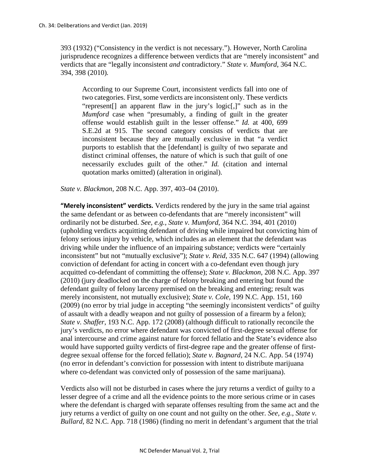393 (1932) ("Consistency in the verdict is not necessary."). However, North Carolina jurisprudence recognizes a difference between verdicts that are "merely inconsistent" and verdicts that are "legally inconsistent *and* contradictory." *State v. Mumford*, 364 N.C. 394, 398 (2010)*.*

According to our Supreme Court, inconsistent verdicts fall into one of two categories. First, some verdicts are inconsistent only. These verdicts "represent[] an apparent flaw in the jury's logic[,]" such as in the *Mumford* case when "presumably, a finding of guilt in the greater offense would establish guilt in the lesser offense." *Id.* at 400, 699 S.E.2d at 915. The second category consists of verdicts that are inconsistent because they are mutually exclusive in that "a verdict purports to establish that the [defendant] is guilty of two separate and distinct criminal offenses, the nature of which is such that guilt of one necessarily excludes guilt of the other." *Id.* (citation and internal quotation marks omitted) (alteration in original).

*State v. Blackmon*, 208 N.C. App. 397, 403–04 (2010).

**"Merely inconsistent" verdicts.** Verdicts rendered by the jury in the same trial against the same defendant or as between co-defendants that are "merely inconsistent" will ordinarily not be disturbed. *See, e.g., State v. Mumford*, 364 N.C. 394, 401 (2010) (upholding verdicts acquitting defendant of driving while impaired but convicting him of felony serious injury by vehicle, which includes as an element that the defendant was driving while under the influence of an impairing substance; verdicts were "certainly inconsistent" but not "mutually exclusive"); *State v. Reid*, 335 N.C. 647 (1994) (allowing conviction of defendant for acting in concert with a co-defendant even though jury acquitted co-defendant of committing the offense); *State v. Blackmon*, 208 N.C. App. 397 (2010) (jury deadlocked on the charge of felony breaking and entering but found the defendant guilty of felony larceny premised on the breaking and entering; result was merely inconsistent, not mutually exclusive); *State v. Cole*, 199 N.C. App. 151, 160 (2009) (no error by trial judge in accepting "the seemingly inconsistent verdicts" of guilty of assault with a deadly weapon and not guilty of possession of a firearm by a felon); *State v. Shaffer*, 193 N.C. App. 172 (2008) (although difficult to rationally reconcile the jury's verdicts, no error where defendant was convicted of first-degree sexual offense for anal intercourse and crime against nature for forced fellatio and the State's evidence also would have supported guilty verdicts of first-degree rape and the greater offense of firstdegree sexual offense for the forced fellatio); *State v. Bagnard*, 24 N.C. App. 54 (1974) (no error in defendant's conviction for possession with intent to distribute marijuana where co-defendant was convicted only of possession of the same marijuana).

Verdicts also will not be disturbed in cases where the jury returns a verdict of guilty to a lesser degree of a crime and all the evidence points to the more serious crime or in cases where the defendant is charged with separate offenses resulting from the same act and the jury returns a verdict of guilty on one count and not guilty on the other. *See, e.g., State v. Bullard*, 82 N.C. App. 718 (1986) (finding no merit in defendant's argument that the trial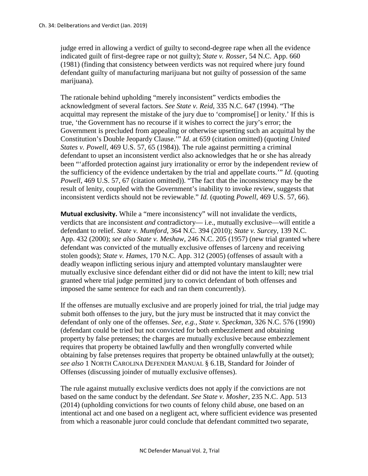judge erred in allowing a verdict of guilty to second-degree rape when all the evidence indicated guilt of first-degree rape or not guilty); *State v. Rosser*, 54 N.C. App. 660 (1981) (finding that consistency between verdicts was not required where jury found defendant guilty of manufacturing marijuana but not guilty of possession of the same marijuana).

The rationale behind upholding "merely inconsistent" verdicts embodies the acknowledgment of several factors. *See State v. Reid*, 335 N.C. 647 (1994). "The acquittal may represent the mistake of the jury due to 'compromise[] or lenity.' If this is true, 'the Government has no recourse if it wishes to correct the jury's error; the Government is precluded from appealing or otherwise upsetting such an acquittal by the Constitution's Double Jeopardy Clause.'" *Id*. at 659 (citation omitted) (quoting *United States v. Powell*, 469 U.S. 57, 65 (1984)). The rule against permitting a criminal defendant to upset an inconsistent verdict also acknowledges that he or she has already been "'afforded protection against jury irrationality or error by the independent review of the sufficiency of the evidence undertaken by the trial and appellate courts.'" *Id.* (quoting *Powell*, 469 U.S. 57, 67 (citation omitted)). "The fact that the inconsistency may be the result of lenity, coupled with the Government's inability to invoke review, suggests that inconsistent verdicts should not be reviewable." *Id.* (quoting *Powell*, 469 U.S. 57, 66).

**Mutual exclusivity.** While a "mere inconsistency" will not invalidate the verdicts, verdicts that are inconsistent *and* contradictory— i.e., mutually exclusive—will entitle a defendant to relief. *State v. Mumford*, 364 N.C. 394 (2010); *State v. Surcey*, 139 N.C. App. 432 (2000); *see also State v. Meshaw*, 246 N.C. 205 (1957) (new trial granted where defendant was convicted of the mutually exclusive offenses of larceny and receiving stolen goods); *State v. Hames*, 170 N.C. App. 312 (2005) (offenses of assault with a deadly weapon inflicting serious injury and attempted voluntary manslaughter were mutually exclusive since defendant either did or did not have the intent to kill; new trial granted where trial judge permitted jury to convict defendant of both offenses and imposed the same sentence for each and ran them concurrently).

If the offenses are mutually exclusive and are properly joined for trial, the trial judge may submit both offenses to the jury, but the jury must be instructed that it may convict the defendant of only one of the offenses. *See, e.g., State v. Speckman*, 326 N.C. 576 (1990) (defendant could be tried but not convicted for both embezzlement and obtaining property by false pretenses; the charges are mutually exclusive because embezzlement requires that property be obtained lawfully and then wrongfully converted while obtaining by false pretenses requires that property be obtained unlawfully at the outset); *see also* 1 NORTH CAROLINA DEFENDER MANUAL § 6.1B, Standard for Joinder of Offenses (discussing joinder of mutually exclusive offenses).

The rule against mutually exclusive verdicts does not apply if the convictions are not based on the same conduct by the defendant. *See State v. Mosher*, 235 N.C. App. 513 (2014) (upholding convictions for two counts of felony child abuse, one based on an intentional act and one based on a negligent act, where sufficient evidence was presented from which a reasonable juror could conclude that defendant committed two separate,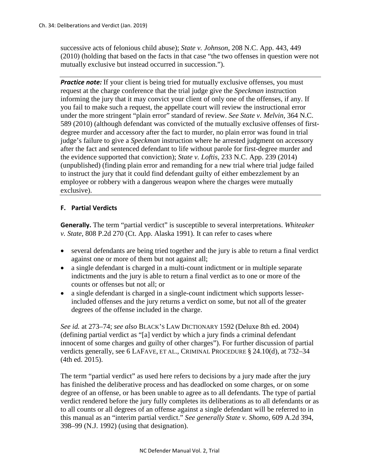successive acts of felonious child abuse); *State v. Johnson*, 208 N.C. App. 443, 449 (2010) (holding that based on the facts in that case "the two offenses in question were not mutually exclusive but instead occurred in succession.").

**Practice note:** If your client is being tried for mutually exclusive offenses, you must request at the charge conference that the trial judge give the *Speckman* instruction informing the jury that it may convict your client of only one of the offenses, if any. If you fail to make such a request, the appellate court will review the instructional error under the more stringent "plain error" standard of review. *See State v. Melvin*, 364 N.C. 589 (2010) (although defendant was convicted of the mutually exclusive offenses of firstdegree murder and accessory after the fact to murder, no plain error was found in trial judge's failure to give a *Speckman* instruction where he arrested judgment on accessory after the fact and sentenced defendant to life without parole for first-degree murder and the evidence supported that conviction); *State v. Loftis*, 233 N.C. App. 239 (2014) (unpublished) (finding plain error and remanding for a new trial where trial judge failed to instruct the jury that it could find defendant guilty of either embezzlement by an employee or robbery with a dangerous weapon where the charges were mutually exclusive).

# **F. Partial Verdicts**

**Generally.** The term "partial verdict" is susceptible to several interpretations. *Whiteaker v. State*, 808 P.2d 270 (Ct. App. Alaska 1991). It can refer to cases where

- several defendants are being tried together and the jury is able to return a final verdict against one or more of them but not against all;
- a single defendant is charged in a multi-count indictment or in multiple separate indictments and the jury is able to return a final verdict as to one or more of the counts or offenses but not all; or
- a single defendant is charged in a single-count indictment which supports lesserincluded offenses and the jury returns a verdict on some, but not all of the greater degrees of the offense included in the charge.

*See id.* at 273–74; *see also* BLACK'S LAW DICTIONARY 1592 (Deluxe 8th ed. 2004) (defining partial verdict as "[a] verdict by which a jury finds a criminal defendant innocent of some charges and guilty of other charges"). For further discussion of partial verdicts generally, see 6 LAFAVE, ET AL., CRIMINAL PROCEDURE § 24.10(d), at 732–34 (4th ed. 2015).

The term "partial verdict" as used here refers to decisions by a jury made after the jury has finished the deliberative process and has deadlocked on some charges, or on some degree of an offense, or has been unable to agree as to all defendants. The type of partial verdict rendered before the jury fully completes its deliberations as to all defendants or as to all counts or all degrees of an offense against a single defendant will be referred to in this manual as an "interim partial verdict." *See generally State v. Shomo*, 609 A.2d 394, 398–99 (N.J. 1992) (using that designation).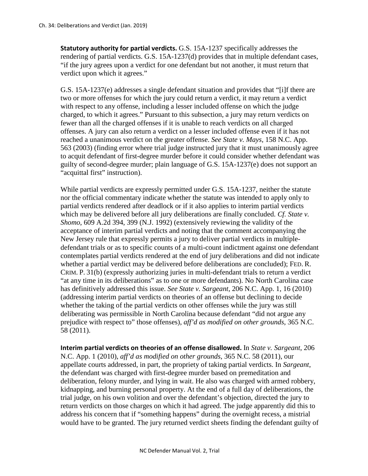**Statutory authority for partial verdicts.** G.S. 15A-1237 specifically addresses the rendering of partial verdicts. G.S. 15A-1237(d) provides that in multiple defendant cases, "if the jury agrees upon a verdict for one defendant but not another, it must return that verdict upon which it agrees."

G.S. 15A-1237(e) addresses a single defendant situation and provides that "[i]f there are two or more offenses for which the jury could return a verdict, it may return a verdict with respect to any offense, including a lesser included offense on which the judge charged, to which it agrees." Pursuant to this subsection, a jury may return verdicts on fewer than all the charged offenses if it is unable to reach verdicts on all charged offenses. A jury can also return a verdict on a lesser included offense even if it has not reached a unanimous verdict on the greater offense. *See State v. Mays*, 158 N.C. App. 563 (2003) (finding error where trial judge instructed jury that it must unanimously agree to acquit defendant of first-degree murder before it could consider whether defendant was guilty of second-degree murder; plain language of G.S. 15A-1237(e) does not support an "acquittal first" instruction).

While partial verdicts are expressly permitted under G.S. 15A-1237, neither the statute nor the official commentary indicate whether the statute was intended to apply only to partial verdicts rendered after deadlock or if it also applies to interim partial verdicts which may be delivered before all jury deliberations are finally concluded. *Cf. State v. Shomo*, 609 A.2d 394, 399 (N.J. 1992) (extensively reviewing the validity of the acceptance of interim partial verdicts and noting that the comment accompanying the New Jersey rule that expressly permits a jury to deliver partial verdicts in multipledefendant trials or as to specific counts of a multi-count indictment against one defendant contemplates partial verdicts rendered at the end of jury deliberations and did not indicate whether a partial verdict may be delivered before deliberations are concluded); FED. R. CRIM. P. 31(b) (expressly authorizing juries in multi-defendant trials to return a verdict "at any time in its deliberations" as to one or more defendants). No North Carolina case has definitively addressed this issue. *See State v. Sargeant*, 206 N.C. App. 1, 16 (2010) (addressing interim partial verdicts on theories of an offense but declining to decide whether the taking of the partial verdicts on other offenses while the jury was still deliberating was permissible in North Carolina because defendant "did not argue any prejudice with respect to" those offenses), *aff'd as modified on other grounds*, 365 N.C. 58 (2011).

**Interim partial verdicts on theories of an offense disallowed.** In *State v. Sargeant*, 206 N.C. App. 1 (2010), *aff'd as modified on other grounds*, 365 N.C. 58 (2011), our appellate courts addressed, in part, the propriety of taking partial verdicts. In *Sargeant*, the defendant was charged with first-degree murder based on premeditation and deliberation, felony murder, and lying in wait. He also was charged with armed robbery, kidnapping, and burning personal property. At the end of a full day of deliberations, the trial judge, on his own volition and over the defendant's objection, directed the jury to return verdicts on those charges on which it had agreed. The judge apparently did this to address his concern that if "something happens" during the overnight recess, a mistrial would have to be granted. The jury returned verdict sheets finding the defendant guilty of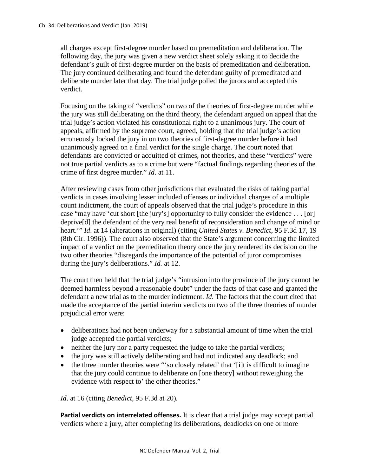all charges except first-degree murder based on premeditation and deliberation. The following day, the jury was given a new verdict sheet solely asking it to decide the defendant's guilt of first-degree murder on the basis of premeditation and deliberation. The jury continued deliberating and found the defendant guilty of premeditated and deliberate murder later that day. The trial judge polled the jurors and accepted this verdict.

Focusing on the taking of "verdicts" on two of the theories of first-degree murder while the jury was still deliberating on the third theory, the defendant argued on appeal that the trial judge's action violated his constitutional right to a unanimous jury. The court of appeals, affirmed by the supreme court, agreed, holding that the trial judge's action erroneously locked the jury in on two theories of first-degree murder before it had unanimously agreed on a final verdict for the single charge. The court noted that defendants are convicted or acquitted of crimes, not theories, and these "verdicts" were not true partial verdicts as to a crime but were "factual findings regarding theories of the crime of first degree murder." *Id*. at 11.

After reviewing cases from other jurisdictions that evaluated the risks of taking partial verdicts in cases involving lesser included offenses or individual charges of a multiple count indictment, the court of appeals observed that the trial judge's procedure in this case "may have 'cut short [the jury's] opportunity to fully consider the evidence . . . [or] deprive[d] the defendant of the very real benefit of reconsideration and change of mind or heart.'" *Id*. at 14 (alterations in original) (citing *United States v. Benedict*, 95 F.3d 17, 19 (8th Cir. 1996)). The court also observed that the State's argument concerning the limited impact of a verdict on the premeditation theory once the jury rendered its decision on the two other theories "disregards the importance of the potential of juror compromises during the jury's deliberations." *Id.* at 12.

The court then held that the trial judge's "intrusion into the province of the jury cannot be deemed harmless beyond a reasonable doubt" under the facts of that case and granted the defendant a new trial as to the murder indictment. *Id*. The factors that the court cited that made the acceptance of the partial interim verdicts on two of the three theories of murder prejudicial error were:

- deliberations had not been underway for a substantial amount of time when the trial judge accepted the partial verdicts;
- neither the jury nor a party requested the judge to take the partial verdicts;
- the jury was still actively deliberating and had not indicated any deadlock; and
- the three murder theories were "'so closely related' that '[i]t is difficult to imagine that the jury could continue to deliberate on [one theory] without reweighing the evidence with respect to' the other theories."

*Id*. at 16 (citing *Benedict*, 95 F.3d at 20)*.*

**Partial verdicts on interrelated offenses.** It is clear that a trial judge may accept partial verdicts where a jury, after completing its deliberations, deadlocks on one or more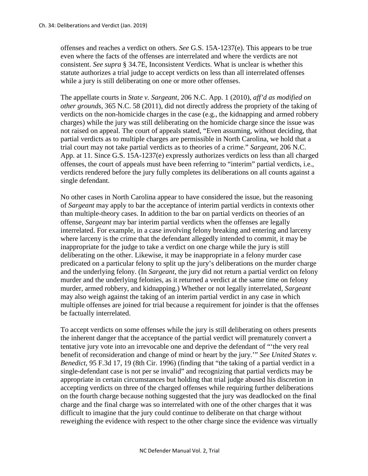offenses and reaches a verdict on others. *See* G.S. 15A-1237(e). This appears to be true even where the facts of the offenses are interrelated and where the verdicts are not consistent. *See supra* § 34.7E, Inconsistent Verdicts. What is unclear is whether this statute authorizes a trial judge to accept verdicts on less than all interrelated offenses while a jury is still deliberating on one or more other offenses.

The appellate courts in *State v. Sargeant*, 206 N.C. App. 1 (2010), *aff'd as modified on other grounds*, 365 N.C. 58 (2011), did not directly address the propriety of the taking of verdicts on the non-homicide charges in the case (e.g., the kidnapping and armed robbery charges) while the jury was still deliberating on the homicide charge since the issue was not raised on appeal. The court of appeals stated, "Even assuming, without deciding, that partial verdicts as to multiple charges are permissible in North Carolina, we hold that a trial court may not take partial verdicts as to theories of a crime." *Sargeant*, 206 N.C. App. at 11. Since G.S. 15A-1237(e) expressly authorizes verdicts on less than all charged offenses, the court of appeals must have been referring to "interim" partial verdicts, i.e., verdicts rendered before the jury fully completes its deliberations on all counts against a single defendant.

No other cases in North Carolina appear to have considered the issue, but the reasoning of *Sargeant* may apply to bar the acceptance of interim partial verdicts in contexts other than multiple-theory cases. In addition to the bar on partial verdicts on theories of an offense, *Sargeant* may bar interim partial verdicts when the offenses are legally interrelated. For example, in a case involving felony breaking and entering and larceny where larceny is the crime that the defendant allegedly intended to commit, it may be inappropriate for the judge to take a verdict on one charge while the jury is still deliberating on the other. Likewise, it may be inappropriate in a felony murder case predicated on a particular felony to split up the jury's deliberations on the murder charge and the underlying felony. (In *Sargeant*, the jury did not return a partial verdict on felony murder and the underlying felonies, as it returned a verdict at the same time on felony murder, armed robbery, and kidnapping.) Whether or not legally interrelated, *Sargeant*  may also weigh against the taking of an interim partial verdict in any case in which multiple offenses are joined for trial because a requirement for joinder is that the offenses be factually interrelated.

To accept verdicts on some offenses while the jury is still deliberating on others presents the inherent danger that the acceptance of the partial verdict will prematurely convert a tentative jury vote into an irrevocable one and deprive the defendant of "'the very real benefit of reconsideration and change of mind or heart by the jury.'" *See United States v. Benedict*, 95 F.3d 17, 19 (8th Cir. 1996) (finding that "the taking of a partial verdict in a single-defendant case is not per se invalid" and recognizing that partial verdicts may be appropriate in certain circumstances but holding that trial judge abused his discretion in accepting verdicts on three of the charged offenses while requiring further deliberations on the fourth charge because nothing suggested that the jury was deadlocked on the final charge and the final charge was so interrelated with one of the other charges that it was difficult to imagine that the jury could continue to deliberate on that charge without reweighing the evidence with respect to the other charge since the evidence was virtually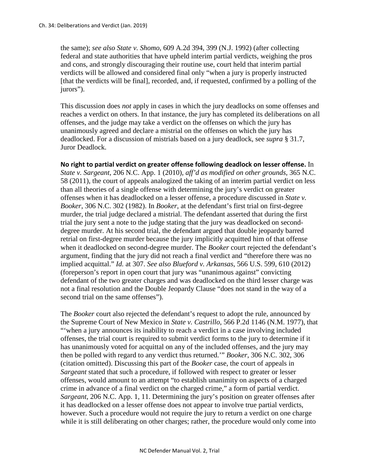the same); *see also State v. Shomo*, 609 A.2d 394, 399 (N.J. 1992) (after collecting federal and state authorities that have upheld interim partial verdicts, weighing the pros and cons, and strongly discouraging their routine use, court held that interim partial verdicts will be allowed and considered final only "when a jury is properly instructed [that the verdicts will be final], recorded, and, if requested, confirmed by a polling of the jurors").

This discussion does *not* apply in cases in which the jury deadlocks on some offenses and reaches a verdict on others. In that instance, the jury has completed its deliberations on all offenses, and the judge may take a verdict on the offenses on which the jury has unanimously agreed and declare a mistrial on the offenses on which the jury has deadlocked. For a discussion of mistrials based on a jury deadlock, see *supra* § 31.7, Juror Deadlock.

**No right to partial verdict on greater offense following deadlock on lesser offense.** In *State v. Sargeant*, 206 N.C. App. 1 (2010), *aff'd as modified on other grounds*, 365 N.C. 58 (2011), the court of appeals analogized the taking of an interim partial verdict on less than all theories of a single offense with determining the jury's verdict on greater offenses when it has deadlocked on a lesser offense, a procedure discussed in *State v. Booker*, 306 N.C. 302 (1982). In *Booker*, at the defendant's first trial on first-degree murder, the trial judge declared a mistrial. The defendant asserted that during the first trial the jury sent a note to the judge stating that the jury was deadlocked on seconddegree murder. At his second trial, the defendant argued that double jeopardy barred retrial on first-degree murder because the jury implicitly acquitted him of that offense when it deadlocked on second-degree murder. The *Booker* court rejected the defendant's argument, finding that the jury did not reach a final verdict and "therefore there was no implied acquittal." *Id.* at 307. *See also Blueford v. Arkansas*, 566 U.S. 599, 610 (2012) (foreperson's report in open court that jury was "unanimous against" convicting defendant of the two greater charges and was deadlocked on the third lesser charge was not a final resolution and the Double Jeopardy Clause "does not stand in the way of a second trial on the same offenses").

The *Booker* court also rejected the defendant's request to adopt the rule, announced by the Supreme Court of New Mexico in *State v. Castrillo*, 566 P.2d 1146 (N.M. 1977), that "'when a jury announces its inability to reach a verdict in a case involving included offenses, the trial court is required to submit verdict forms to the jury to determine if it has unanimously voted for acquittal on any of the included offenses, and the jury may then be polled with regard to any verdict thus returned.'" *Booker*, 306 N.C. 302, 306 (citation omitted). Discussing this part of the *Booker* case, the court of appeals in *Sargeant* stated that such a procedure, if followed with respect to greater or lesser offenses, would amount to an attempt "to establish unanimity on aspects of a charged crime in advance of a final verdict on the charged crime," a form of partial verdict. *Sargeant*, 206 N.C. App. 1, 11. Determining the jury's position on greater offenses after it has deadlocked on a lesser offense does not appear to involve true partial verdicts, however. Such a procedure would not require the jury to return a verdict on one charge while it is still deliberating on other charges; rather, the procedure would only come into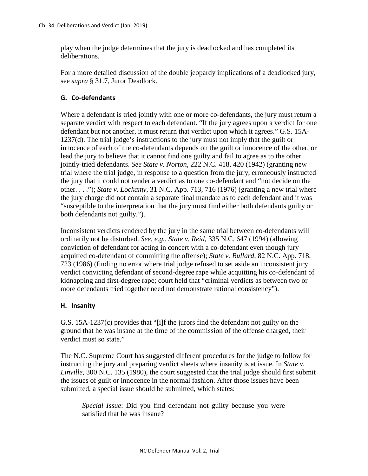play when the judge determines that the jury is deadlocked and has completed its deliberations.

For a more detailed discussion of the double jeopardy implications of a deadlocked jury, see *supra* § 31.7, Juror Deadlock.

# **G. Co-defendants**

Where a defendant is tried jointly with one or more co-defendants, the jury must return a separate verdict with respect to each defendant. "If the jury agrees upon a verdict for one defendant but not another, it must return that verdict upon which it agrees." G.S. 15A-1237(d). The trial judge's instructions to the jury must not imply that the guilt or innocence of each of the co-defendants depends on the guilt or innocence of the other, or lead the jury to believe that it cannot find one guilty and fail to agree as to the other jointly-tried defendants. *See State v. Norton*, 222 N.C. 418, 420 (1942) (granting new trial where the trial judge, in response to a question from the jury, erroneously instructed the jury that it could not render a verdict as to one co-defendant and "not decide on the other. . . ."); *State v. Lockamy*, 31 N.C. App. 713, 716 (1976) (granting a new trial where the jury charge did not contain a separate final mandate as to each defendant and it was "susceptible to the interpretation that the jury must find either both defendants guilty or both defendants not guilty.").

Inconsistent verdicts rendered by the jury in the same trial between co-defendants will ordinarily not be disturbed. *See, e.g., State v. Reid*, 335 N.C. 647 (1994) (allowing conviction of defendant for acting in concert with a co-defendant even though jury acquitted co-defendant of committing the offense); *State v. Bullard*, 82 N.C. App. 718, 723 (1986) (finding no error where trial judge refused to set aside an inconsistent jury verdict convicting defendant of second-degree rape while acquitting his co-defendant of kidnapping and first-degree rape; court held that "criminal verdicts as between two or more defendants tried together need not demonstrate rational consistency").

# **H. Insanity**

G.S. 15A-1237(c) provides that "[i]f the jurors find the defendant not guilty on the ground that he was insane at the time of the commission of the offense charged, their verdict must so state."

The N.C. Supreme Court has suggested different procedures for the judge to follow for instructing the jury and preparing verdict sheets where insanity is at issue. In *State v. Linville*, 300 N.C. 135 (1980), the court suggested that the trial judge should first submit the issues of guilt or innocence in the normal fashion. After those issues have been submitted, a special issue should be submitted, which states:

*Special Issue*: Did you find defendant not guilty because you were satisfied that he was insane?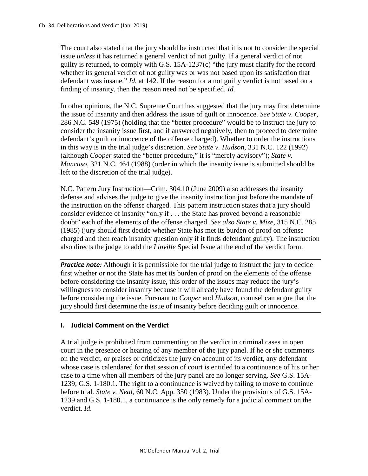The court also stated that the jury should be instructed that it is not to consider the special issue *unless* it has returned a general verdict of not guilty. If a general verdict of not guilty is returned, to comply with G.S.  $15A-1237(c)$  "the jury must clarify for the record whether its general verdict of not guilty was or was not based upon its satisfaction that defendant was insane." *Id.* at 142. If the reason for a not guilty verdict is not based on a finding of insanity, then the reason need not be specified. *Id.*

In other opinions, the N.C. Supreme Court has suggested that the jury may first determine the issue of insanity and then address the issue of guilt or innocence. *See State v. Cooper*, 286 N.C. 549 (1975) (holding that the "better procedure" would be to instruct the jury to consider the insanity issue first, and if answered negatively, then to proceed to determine defendant's guilt or innocence of the offense charged). Whether to order the instructions in this way is in the trial judge's discretion. *See State v. Hudson*, 331 N.C. 122 (1992) (although *Cooper* stated the "better procedure," it is "merely advisory"); *State v. Mancuso*, 321 N.C. 464 (1988) (order in which the insanity issue is submitted should be left to the discretion of the trial judge).

N.C. Pattern Jury Instruction—Crim. 304.10 (June 2009) also addresses the insanity defense and advises the judge to give the insanity instruction just before the mandate of the instruction on the offense charged. This pattern instruction states that a jury should consider evidence of insanity "only if . . . the State has proved beyond a reasonable doubt" each of the elements of the offense charged. *See also State v. Mize*, 315 N.C. 285 (1985) (jury should first decide whether State has met its burden of proof on offense charged and then reach insanity question only if it finds defendant guilty). The instruction also directs the judge to add the *Linville* Special Issue at the end of the verdict form.

**Practice note:** Although it is permissible for the trial judge to instruct the jury to decide first whether or not the State has met its burden of proof on the elements of the offense before considering the insanity issue, this order of the issues may reduce the jury's willingness to consider insanity because it will already have found the defendant guilty before considering the issue. Pursuant to *Cooper* and *Hudson*, counsel can argue that the jury should first determine the issue of insanity before deciding guilt or innocence.

# **I. Judicial Comment on the Verdict**

A trial judge is prohibited from commenting on the verdict in criminal cases in open court in the presence or hearing of any member of the jury panel. If he or she comments on the verdict, or praises or criticizes the jury on account of its verdict, any defendant whose case is calendared for that session of court is entitled to a continuance of his or her case to a time when all members of the jury panel are no longer serving. *See* G.S. 15A-1239; G.S. 1-180.1. The right to a continuance is waived by failing to move to continue before trial. *State v. Neal*, 60 N.C. App. 350 (1983). Under the provisions of G.S. 15A-1239 and G.S. 1-180.1, a continuance is the only remedy for a judicial comment on the verdict. *Id.*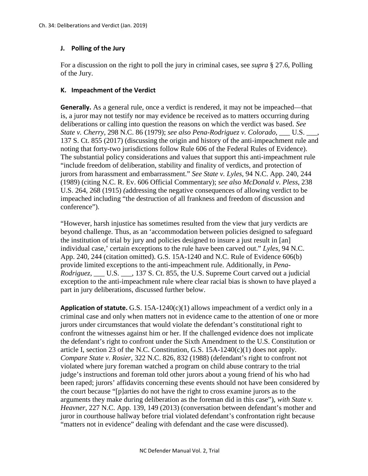### **J. Polling of the Jury**

For a discussion on the right to poll the jury in criminal cases, see *supra* § 27.6, Polling of the Jury.

#### **K. Impeachment of the Verdict**

**Generally.** As a general rule, once a verdict is rendered, it may not be impeached—that is, a juror may not testify nor may evidence be received as to matters occurring during deliberations or calling into question the reasons on which the verdict was based. *See State v. Cherry*, 298 N.C. 86 (1979); *see also Pena-Rodriguez v. Colorado,* \_\_\_ U.S. \_\_\_, 137 S. Ct. 855 (2017) (discussing the origin and history of the anti-impeachment rule and noting that forty-two jurisdictions follow Rule 606 of the Federal Rules of Evidence). The substantial policy considerations and values that support this anti-impeachment rule "include freedom of deliberation, stability and finality of verdicts, and protection of jurors from harassment and embarrassment." *See State v. Lyles*, 94 N.C. App. 240, 244 (1989) (citing N.C. R. Ev. 606 Official Commentary); *see also McDonald v. Pless*, 238 U.S. 264, 268 (1915) *(*addressing the negative consequences of allowing verdict to be impeached including "the destruction of all frankness and freedom of discussion and conference").

"However, harsh injustice has sometimes resulted from the view that jury verdicts are beyond challenge. Thus, as an 'accommodation between policies designed to safeguard the institution of trial by jury and policies designed to insure a just result in [an] individual case,' certain exceptions to the rule have been carved out." *Lyles*, 94 N.C. App. 240, 244 (citation omitted). G.S. 15A-1240 and N.C. Rule of Evidence 606(b) provide limited exceptions to the anti-impeachment rule. Additionally, in *Pena-Rodriguez,* \_\_\_ U.S. \_\_\_, 137 S. Ct. 855, the U.S. Supreme Court carved out a judicial exception to the anti-impeachment rule where clear racial bias is shown to have played a part in jury deliberations, discussed further below.

**Application of statute.** G.S. 15A-1240(c)(1) allows impeachment of a verdict only in a criminal case and only when matters not in evidence came to the attention of one or more jurors under circumstances that would violate the defendant's constitutional right to confront the witnesses against him or her. If the challenged evidence does not implicate the defendant's right to confront under the Sixth Amendment to the U.S. Constitution or article I, section 23 of the N.C. Constitution, G.S. 15A-1240(c)(1) does not apply. *Compare State v. Rosier*, 322 N.C. 826, 832 (1988) (defendant's right to confront not violated where jury foreman watched a program on child abuse contrary to the trial judge's instructions and foreman told other jurors about a young friend of his who had been raped; jurors' affidavits concerning these events should not have been considered by the court because "[p]arties do not have the right to cross examine jurors as to the arguments they make during deliberation as the foreman did in this case"), *with State v. Heavner*, 227 N.C. App. 139, 149 (2013) (conversation between defendant's mother and juror in courthouse hallway before trial violated defendant's confrontation right because "matters not in evidence" dealing with defendant and the case were discussed).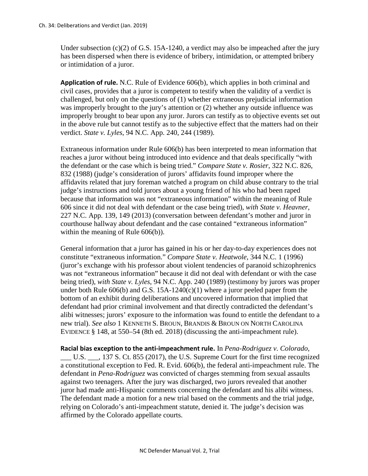Under subsection (c)(2) of G.S. 15A-1240, a verdict may also be impeached after the jury has been dispersed when there is evidence of bribery, intimidation, or attempted bribery or intimidation of a juror.

**Application of rule.** N.C. Rule of Evidence 606(b), which applies in both criminal and civil cases, provides that a juror is competent to testify when the validity of a verdict is challenged, but only on the questions of (1) whether extraneous prejudicial information was improperly brought to the jury's attention or (2) whether any outside influence was improperly brought to bear upon any juror. Jurors can testify as to objective events set out in the above rule but cannot testify as to the subjective effect that the matters had on their verdict. *State v. Lyles*, 94 N.C. App. 240, 244 (1989).

Extraneous information under Rule 606(b) has been interpreted to mean information that reaches a juror without being introduced into evidence and that deals specifically "with the defendant or the case which is being tried." *Compare State v. Rosier*, 322 N.C. 826, 832 (1988) (judge's consideration of jurors' affidavits found improper where the affidavits related that jury foreman watched a program on child abuse contrary to the trial judge's instructions and told jurors about a young friend of his who had been raped because that information was not "extraneous information" within the meaning of Rule 606 since it did not deal with defendant or the case being tried), *with State v. Heavner*, 227 N.C. App. 139, 149 (2013) (conversation between defendant's mother and juror in courthouse hallway about defendant and the case contained "extraneous information" within the meaning of Rule 606(b)).

General information that a juror has gained in his or her day-to-day experiences does not constitute "extraneous information." *Compare State v. Heatwole*, 344 N.C. 1 (1996) (juror's exchange with his professor about violent tendencies of paranoid schizophrenics was not "extraneous information" because it did not deal with defendant or with the case being tried), *with State v. Lyles*, 94 N.C. App. 240 (1989) (testimony by jurors was proper under both Rule 606(b) and G.S. 15A-1240(c)(1) where a juror peeled paper from the bottom of an exhibit during deliberations and uncovered information that implied that defendant had prior criminal involvement and that directly contradicted the defendant's alibi witnesses; jurors' exposure to the information was found to entitle the defendant to a new trial). *See also* 1 KENNETH S. BROUN, BRANDIS & BROUN ON NORTH CAROLINA EVIDENCE § 148, at 550–54 (8th ed. 2018) (discussing the anti-impeachment rule).

**Racial bias exception to the anti-impeachment rule.** In *Pena-Rodriguez v. Colorado*, \_\_\_ U.S. \_\_\_, 137 S. Ct. 855 (2017), the U.S. Supreme Court for the first time recognized a constitutional exception to Fed. R. Evid. 606(b), the federal anti-impeachment rule. The defendant in *Pena-Rodriguez* was convicted of charges stemming from sexual assaults against two teenagers. After the jury was discharged, two jurors revealed that another juror had made anti-Hispanic comments concerning the defendant and his alibi witness. The defendant made a motion for a new trial based on the comments and the trial judge, relying on Colorado's anti-impeachment statute, denied it. The judge's decision was affirmed by the Colorado appellate courts.